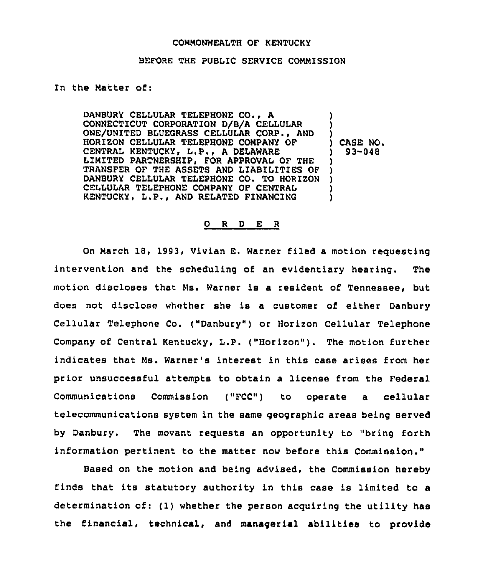## COMMONWEALTH OF KENTUCKY

## BEFORE THE PUBLIC SERVICE COMMISSION

## In the Matter of:

DANBURY CELLULAR TELEPHONE CO., <sup>A</sup> CONNECTICUT CORPORATION D/B/A CELLULAR ONE/UNITED BLUEGRASS CELLULAR CORP., AND HORIZON CELLULAR TELEPHONE COMPANY OF CENTRAL KENTUCKY, L.P., A DELAWARE LIMITED PARTNERSHIP, FOR APPROVAL OF THE TRANSFER OF THE ASSETS AND LIABILITIES OF DANBURY CELLULAR TELEPHONE CO. TO HORIZON CELLULAR TELEPHONE COMPANY OF CENTRAL KENTUCKY, L.P., AND RELATED FINANCING ) ) ) ) CASE NO. ) 93-048 ) ) ) ) )

## 0 <sup>R</sup> <sup>D</sup> E <sup>R</sup>

On March 18, 1993, Vivian E. Warner filed a motion requesting intervention and the scheduling of an evidentiary hearing. The motion discloses that Ms. Warner is a resident of Tennessee, but does not disclose whether she is a customer of either Danbury Cellular Telephone Co. ("Danbury") or Horizon Cellular Telephone Company of Central Kentucky, L.P. ("Horizon"). The motion further indicates that Ms. Warner's interest in this case arises from her prior unsuccessful attempts to obtain a license from the Federal Communications Commission ("FCC") to operate a cellular telecommunications system in the same geographic areas being served by Danbury. The movant requests an opportunity to "bring forth information pertinent to the matter now before this Commission."

Based on the motion and be'ng advised, the Commission hereby finds that its statutory authority in this case is limited to a determination of: (1) whether the person acquiring the utility has the financial, technical, and managerial abilities to provide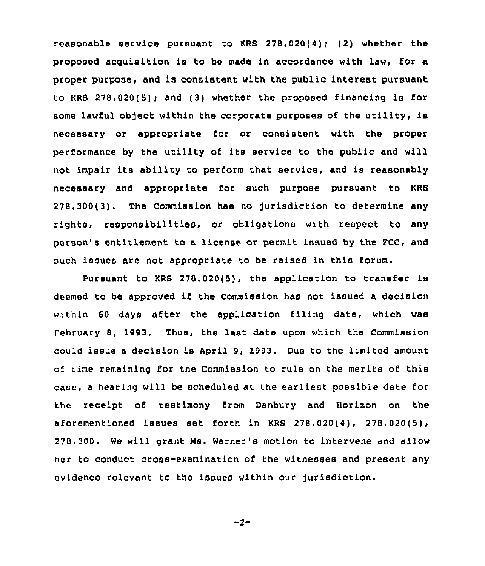reasonable service pursuant to KRS 278.020(4); (2) whether the proposed acguisition is to be made in accordance with law, for a proper purpose, and is consistent with the public interest pursuant to KRS  $278.020(5)$ ; and (3) whether the proposed financing is for some lawful object within the corporate purposes of the utility, is necessary or appropriate for or consistent with the proper performance by the utility of its service to the public and will not impair its ability to perform that service, and is reasonably necessary and appropriate for such purpose pursuant to KRS 278.300(3). The Commission has no Jurisdiction to determine any rights, responsibilities, or obligations with respect to any person's entitlement to a license or permit issued by the FCC, and such issues are not appropriate to be raised in this forum.

Pursuant to KRS 278.020(5), the application to transfer is deemed to be approved if the Commission has not issued <sup>a</sup> decision within 60 days after the application filing date, which was February 8, 1993. Thus, the last date upon which the Commission could issue a decision is April 9, 1993. Due to the limited amount of time remaining for the Commission to rule on the merits of this case, a hearing will be scheduled at the earliest possible date for the receipt of testimony from Danbury and Horizon on the aforementioned issues set forth in KRS 278.020(4), 278.020(5), 278.300. We will grant Ms. Warner's motion to intervene and allow her to conduct cross-examination of the witnesses and present any evidence relevant to the issues within our jurisdiction.

$$
-2-
$$